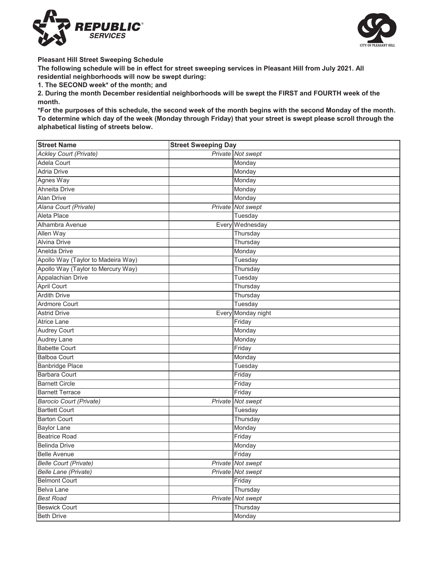



**Pleasant Hill Street Sweeping Schedule**

**The following schedule will be in effect for street sweeping services in Pleasant Hill from July 2021. All residential neighborhoods will now be swept during:**

**1. The SECOND week\* of the month; and**

**2. During the month December residential neighborhoods will be swept the FIRST and FOURTH week of the month.**

\*For the purposes of this schedule, the second week of the month begins with the second Monday of the month. **To determine which day of the week (Monday through Friday) that your street is swept please scroll through the alphabetical listing of streets below.**

| <b>Street Name</b>                 | <b>Street Sweeping Day</b> |                    |
|------------------------------------|----------------------------|--------------------|
| <b>Ackley Court (Private)</b>      |                            | Private Not swept  |
| <b>Adela Court</b>                 |                            | Monday             |
| <b>Adria Drive</b>                 |                            | Monday             |
| Agnes Way                          |                            | Monday             |
| <b>Ahneita Drive</b>               |                            | Monday             |
| <b>Alan Drive</b>                  |                            | Monday             |
| Alana Court (Private)              |                            | Private Not swept  |
| Aleta Place                        |                            | Tuesday            |
| Alhambra Avenue                    |                            | Every Wednesday    |
| Allen Way                          |                            | Thursday           |
| <b>Alvina Drive</b>                |                            | Thursday           |
| Anelda Drive                       |                            | Monday             |
| Apollo Way (Taylor to Madeira Way) |                            | Tuesday            |
| Apollo Way (Taylor to Mercury Way) |                            | Thursday           |
| Appalachian Drive                  |                            | Tuesday            |
| April Court                        |                            | Thursday           |
| <b>Ardith Drive</b>                |                            | Thursday           |
| Ardmore Court                      |                            | Tuesday            |
| <b>Astrid Drive</b>                |                            | Every Monday night |
| <b>Atrice Lane</b>                 |                            | Friday             |
| Audrey Court                       |                            | Monday             |
| Audrey Lane                        |                            | Monday             |
| <b>Babette Court</b>               |                            | Friday             |
| <b>Balboa Court</b>                |                            | Monday             |
| <b>Banbridge Place</b>             |                            | Tuesday            |
| <b>Barbara Court</b>               |                            | Friday             |
| <b>Barnett Circle</b>              |                            | Friday             |
| <b>Barnett Terrace</b>             |                            | Friday             |
| <b>Barocio Court (Private)</b>     |                            | Private Not swept  |
| <b>Bartlett Court</b>              |                            | Tuesday            |
| <b>Barton Court</b>                |                            | Thursday           |
| <b>Baylor Lane</b>                 |                            | Monday             |
| <b>Beatrice Road</b>               |                            | Friday             |
| <b>Belinda Drive</b>               |                            | Monday             |
| <b>Belle Avenue</b>                |                            | Friday             |
| <b>Belle Court (Private)</b>       |                            | Private Not swept  |
| Belle Lane (Private)               |                            | Private Not swept  |
| <b>Belmont Court</b>               |                            | Friday             |
| Belva Lane                         |                            | Thursday           |
| <b>Best Road</b>                   | Private                    | Not swept          |
| <b>Beswick Court</b>               |                            | Thursday           |
| <b>Beth Drive</b>                  |                            | Monday             |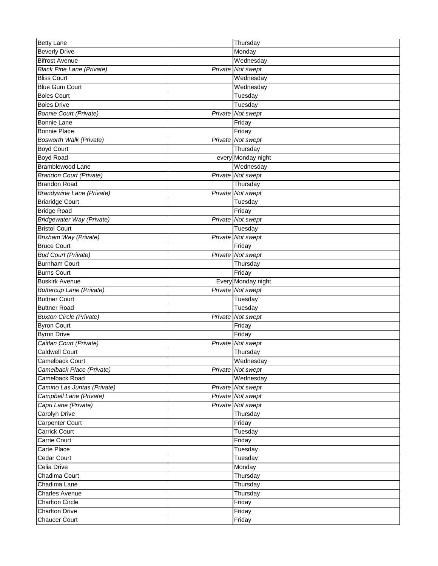| <b>Betty Lane</b>                       | Thursday           |
|-----------------------------------------|--------------------|
| <b>Beverly Drive</b>                    | Monday             |
| <b>Bifrost Avenue</b>                   | Wednesday          |
| <b>Black Pine Lane (Private)</b>        | Private Not swept  |
| <b>Bliss Court</b>                      | Wednesday          |
| <b>Blue Gum Court</b>                   | Wednesday          |
| <b>Boies Court</b>                      | Tuesday            |
| <b>Boies Drive</b>                      | Tuesday            |
| <b>Bonnie Court (Private)</b>           | Private Not swept  |
| <b>Bonnie Lane</b>                      | Friday             |
| <b>Bonnie Place</b>                     | Friday             |
| Bosworth Walk (Private)                 | Private Not swept  |
| <b>Boyd Court</b>                       | Thursday           |
| Boyd Road                               | every Monday night |
| Bramblewood Lane                        | Wednesday          |
| <b>Brandon Court (Private)</b>          | Private Not swept  |
| <b>Brandon Road</b>                     | Thursday           |
| <b>Brandywine Lane (Private)</b>        | Private Not swept  |
| <b>Briaridge Court</b>                  | Tuesday            |
| <b>Bridge Road</b>                      | Friday             |
| <b>Bridgewater Way (Private)</b>        | Private Not swept  |
| <b>Bristol Court</b>                    | Tuesday            |
| <b>Brixham Way (Private)</b>            | Private Not swept  |
| <b>Bruce Court</b>                      | Friday             |
| <b>Bud Court (Private)</b>              | Private Not swept  |
| <b>Burnham Court</b>                    | Thursday           |
| <b>Burns Court</b>                      | Friday             |
| <b>Buskirk Avenue</b>                   | Every Monday night |
| <b>Buttercup Lane (Private)</b>         | Private Not swept  |
| <b>Buttner Court</b>                    | Tuesday            |
| <b>Buttner Road</b>                     | Tuesday            |
| <b>Buxton Circle (Private)</b>          | Private Not swept  |
| <b>Byron Court</b>                      | Friday             |
| <b>Byron Drive</b>                      | Friday             |
| Caitlan Court (Private)                 | Private Not swept  |
| <b>Caldwell Court</b>                   | Thursday           |
| Camelback Court                         | Wednesday          |
| Camelback Place (Private)               | Private Not swept  |
| Camelback Road                          | Wednesday          |
| Camino Las Juntas (Private)             | Private Not swept  |
| Campbell Lane (Private)                 | Private Not swept  |
|                                         | Private Not swept  |
| Capri Lane (Private)<br>Carolyn Drive   | Thursday           |
|                                         | Friday             |
| Carpenter Court<br><b>Carrick Court</b> | Tuesday            |
| Carrie Court                            | Friday             |
|                                         |                    |
| Carte Place                             | Tuesday            |
| Cedar Court                             | Tuesday            |
| Celia Drive                             | Monday             |
| Chadima Court                           | Thursday           |
| Chadima Lane                            | Thursday           |
| <b>Charles Avenue</b>                   | Thursday           |
| <b>Charlton Circle</b>                  | Friday             |
| <b>Charlton Drive</b>                   | Friday             |
| <b>Chaucer Court</b>                    | Friday             |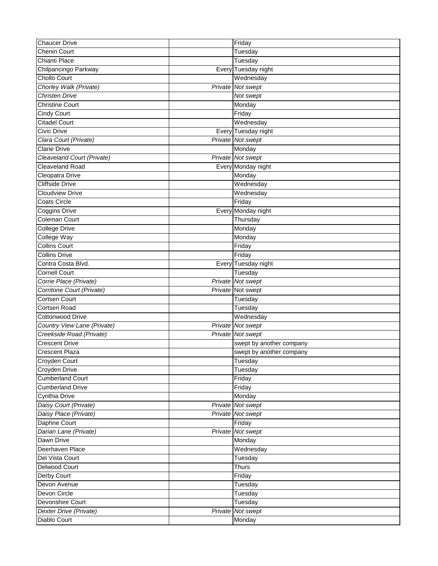| <b>Chaucer Drive</b>        | Friday                   |
|-----------------------------|--------------------------|
| <b>Chenin Court</b>         | Tuesday                  |
| Chianti Place               | Tuesday                  |
| Chilpancingo Parkway        | Every Tuesday night      |
| <b>Chollo Court</b>         | Wednesday                |
| Chorley Walk (Private)      | Private Not swept        |
| <b>Christen Drive</b>       | Not swept                |
| <b>Christine Court</b>      | Monday                   |
| <b>Cindy Court</b>          | Friday                   |
| <b>Citadel Court</b>        | Wednesday                |
| Civic Drive                 | Every Tuesday night      |
| Clara Court (Private)       | Private Not swept        |
| <b>Clarie Drive</b>         | Monday                   |
| Cleaveland Court (Private)  | Private Not swept        |
| <b>Cleaveland Road</b>      | Every Monday night       |
| Cleopatra Drive             | Monday                   |
| <b>Cliffside Drive</b>      | Wednesday                |
| <b>Cloudview Drive</b>      | Wednesday                |
| <b>Coats Circle</b>         | Friday                   |
| Coggins Drive               | Every Monday night       |
| <b>Coleman Court</b>        | Thursday                 |
| <b>College Drive</b>        | Monday                   |
| <b>College Way</b>          | Monday                   |
| <b>Collins Court</b>        | Friday                   |
| <b>Collins Drive</b>        | Friday                   |
| Contra Costa Blvd.          | Every Tuesday night      |
| Cornell Court               | Tuesday                  |
| Corrie Place (Private)      | Private Not swept        |
| Corritone Court (Private)   | Private Not swept        |
| <b>Cortsen Court</b>        | Tuesday                  |
| Cortsen Road                | Tuesday                  |
| <b>Cottonwood Drive</b>     | Wednesday                |
| Country View Lane (Private) | Private Not swept        |
| Creekside Road (Private)    | <b>Private</b> Not swept |
| <b>Crescent Drive</b>       | swept by another company |
| <b>Crescent Plaza</b>       | swept by another company |
| Croyden Court               | Tuesday                  |
| Croyden Drive               | Tuesday                  |
| <b>Cumberland Court</b>     | Friday                   |
| Cumberland Drive            | Friday                   |
| Cynthia Drive               | Monday                   |
| Daisy Court (Private)       | Private Not swept        |
| Daisy Place (Private)       | Private Not swept        |
| Daphne Court                | Friday                   |
| Darian Lane (Private)       | Private Not swept        |
| Dawn Drive                  | Monday                   |
| Deerhaven Place             | Wednesday                |
| Del Vista Court             | Tuesday                  |
| <b>Delwood Court</b>        | <b>Thurs</b>             |
| Derby Court                 | Friday                   |
| Devon Avenue                | Tuesday                  |
| Devon Circle                | Tuesday                  |
| Devonshire Court            | Tuesday                  |
| Dexter Drive (Private)      | Private Not swept        |
| Diablo Court                | Monday                   |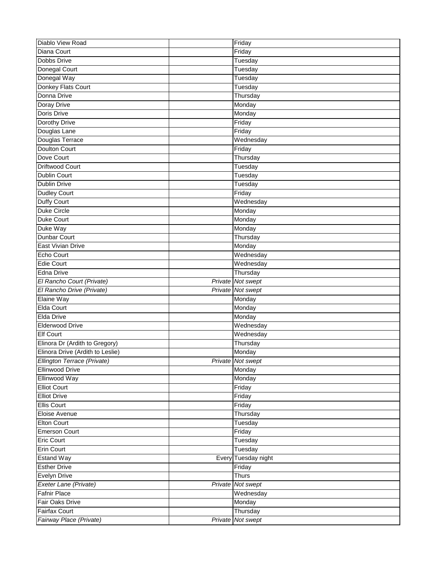| Diablo View Road                 |         | Friday            |
|----------------------------------|---------|-------------------|
| Diana Court                      |         | Friday            |
| <b>Dobbs Drive</b>               |         | Tuesday           |
| Donegal Court                    |         | Tuesday           |
| Donegal Way                      |         | Tuesday           |
| Donkey Flats Court               |         | Tuesday           |
| Donna Drive                      |         | Thursday          |
| Doray Drive                      |         | Monday            |
| <b>Doris Drive</b>               |         | Monday            |
| Dorothy Drive                    |         | Friday            |
| Douglas Lane                     |         | Friday            |
| Douglas Terrace                  |         | Wednesday         |
| <b>Doulton Court</b>             |         | Friday            |
| Dove Court                       |         | Thursday          |
| <b>Driftwood Court</b>           |         | Tuesday           |
| Dublin Court                     |         | Tuesday           |
| <b>Dublin Drive</b>              |         | Tuesday           |
| <b>Dudley Court</b>              |         | Friday            |
| <b>Duffy Court</b>               |         | Wednesday         |
| <b>Duke Circle</b>               |         | Monday            |
| <b>Duke Court</b>                |         | Monday            |
| Duke Way                         |         | Monday            |
| <b>Dunbar Court</b>              |         | Thursday          |
| <b>East Vivian Drive</b>         |         | Monday            |
| Echo Court                       |         | Wednesday         |
| <b>Edie Court</b>                |         | Wednesday         |
| Edna Drive                       |         | Thursday          |
| El Rancho Court (Private)        |         | Private Not swept |
| El Rancho Drive (Private)        |         | Private Not swept |
| Elaine Way                       |         | Monday            |
| Elda Court                       |         | Monday            |
| <b>Elda Drive</b>                |         | Monday            |
| <b>Elderwood Drive</b>           |         | Wednesday         |
| <b>Elf Court</b>                 |         | Wednesday         |
| Elinora Dr (Ardith to Gregory)   |         | Thursday          |
| Elinora Drive (Ardith to Leslie) |         | Monday            |
| Ellington Terrace (Private)      |         | Private Not swept |
| <b>Ellinwood Drive</b>           |         | Monday            |
| Ellinwood Way                    |         | Monday            |
| <b>Elliot Court</b>              |         | Friday            |
| <b>Elliot Drive</b>              |         | Friday            |
| <b>Ellis Court</b>               |         | Friday            |
| Eloise Avenue                    |         | Thursday          |
| <b>Elton Court</b>               |         | Tuesday           |
| <b>Emerson Court</b>             |         | Friday            |
| <b>Eric Court</b>                |         | Tuesday           |
| <b>Erin Court</b>                |         | Tuesday           |
| <b>Estand Way</b>                | Every   | Tuesday night     |
| <b>Esther Drive</b>              |         | Friday            |
| Evelyn Drive                     |         | <b>Thurs</b>      |
| Exeter Lane (Private)            | Private | Not swept         |
| <b>Fafnir Place</b>              |         | Wednesday         |
| Fair Oaks Drive                  |         | Monday            |
| Fairfax Court                    |         | Thursday          |
| Fairway Place (Private)          |         | Private Not swept |
|                                  |         |                   |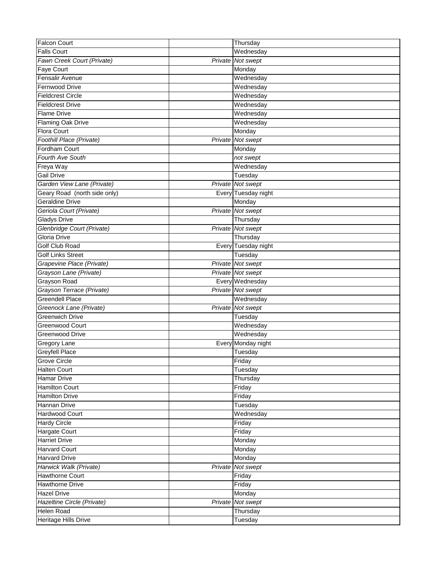| <b>Falcon Court</b>          |       | Thursday            |
|------------------------------|-------|---------------------|
| <b>Falls Court</b>           |       | Wednesday           |
| Fawn Creek Court (Private)   |       | Private Not swept   |
| Faye Court                   |       | Monday              |
| Fensalir Avenue              |       | Wednesday           |
| <b>Fernwood Drive</b>        |       | Wednesday           |
| <b>Fieldcrest Circle</b>     |       | Wednesday           |
| <b>Fieldcrest Drive</b>      |       | Wednesday           |
| <b>Flame Drive</b>           |       | Wednesday           |
| <b>Flaming Oak Drive</b>     |       | Wednesday           |
| Flora Court                  |       | Monday              |
| Foothill Place (Private)     |       | Private Not swept   |
| Fordham Court                |       | Monday              |
| <b>Fourth Ave South</b>      |       | not swept           |
| Freya Way                    |       | Wednesday           |
| <b>Gail Drive</b>            |       | Tuesday             |
| Garden View Lane (Private)   |       | Private Not swept   |
| Geary Road (north side only) | Every | Tuesday night       |
| <b>Geraldine Drive</b>       |       | Monday              |
| Geriola Court (Private)      |       | Private Not swept   |
| <b>Gladys Drive</b>          |       | Thursday            |
| Glenbridge Court (Private)   |       | Private Not swept   |
| <b>Gloria Drive</b>          |       | Thursday            |
| Golf Club Road               |       | Every Tuesday night |
| <b>Golf Links Street</b>     |       | Tuesday             |
| Grapevine Place (Private)    |       | Private Not swept   |
| Grayson Lane (Private)       |       | Private Not swept   |
| Grayson Road                 |       | Every Wednesday     |
| Grayson Terrace (Private)    |       | Private Not swept   |
| <b>Greendell Place</b>       |       | Wednesday           |
| Greenock Lane (Private)      |       | Private Not swept   |
| <b>Greenwich Drive</b>       |       | Tuesday             |
| Greenwood Court              |       | Wednesday           |
| <b>Greenwood Drive</b>       |       | Wednesday           |
| Gregory Lane                 | Every | Monday night        |
| <b>Greyfell Place</b>        |       | Tuesday             |
| Grove Circle                 |       | Friday              |
| <b>Halten Court</b>          |       | Tuesday             |
| <b>Hamar Drive</b>           |       | Thursday            |
| Hamilton Court               |       | Friday              |
| <b>Hamilton Drive</b>        |       | Friday              |
| Hannan Drive                 |       | Tuesday             |
| Hardwood Court               |       | Wednesday           |
| <b>Hardy Circle</b>          |       | Friday              |
| Hargate Court                |       | Friday              |
| <b>Harriet Drive</b>         |       | Monday              |
| <b>Harvard Court</b>         |       | Monday              |
| <b>Harvard Drive</b>         |       | Monday              |
| Harwick Walk (Private)       |       | Private Not swept   |
| Hawthorne Court              |       | Friday              |
| <b>Hawthorne Drive</b>       |       | Friday              |
| <b>Hazel Drive</b>           |       | Monday              |
| Hazeltine Circle (Private)   |       | Private Not swept   |
| Helen Road                   |       | Thursday            |
| Heritage Hills Drive         |       | Tuesday             |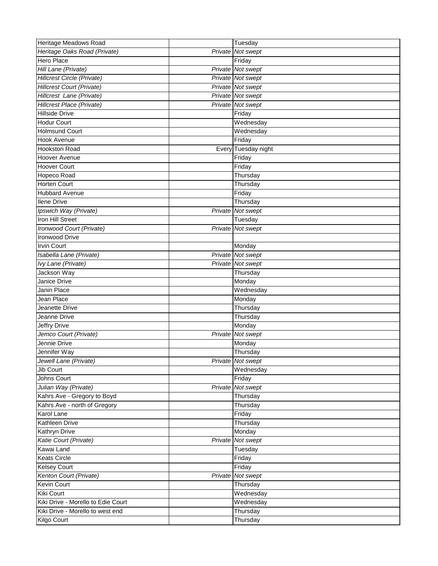| Heritage Meadows Road              |         | Tuesday             |
|------------------------------------|---------|---------------------|
| Heritage Oaks Road (Private)       | Private | Not swept           |
| <b>Hero Place</b>                  |         | Friday              |
| Hill Lane (Private)                |         | Private Not swept   |
| Hillcrest Circle (Private)         |         | Private Not swept   |
| <b>Hillcrest Court (Private)</b>   |         | Private Not swept   |
| Hillcrest Lane (Private)           |         | Private Not swept   |
| Hillcrest Place (Private)          |         | Private Not swept   |
| Hillside Drive                     |         | Friday              |
| <b>Hodur Court</b>                 |         | Wednesday           |
| <b>Holmsund Court</b>              |         | Wednesday           |
| <b>Hook Avenue</b>                 |         | Friday              |
| <b>Hookston Road</b>               |         | Every Tuesday night |
| <b>Hoover Avenue</b>               |         | Friday              |
| <b>Hoover Court</b>                |         | Friday              |
| Hopeco Road                        |         | Thursday            |
| <b>Horten Court</b>                |         | Thursday            |
| <b>Hubbard Avenue</b>              |         | Friday              |
| <b>Ilene Drive</b>                 |         | Thursday            |
| Ipswich Way (Private)              |         | Private Not swept   |
| <b>Iron Hill Street</b>            |         | Tuesday             |
| Ironwood Court (Private)           |         | Private Not swept   |
| <b>Ironwood Drive</b>              |         |                     |
| <b>Irvin Court</b>                 |         | Monday              |
| Isabella Lane (Private)            |         | Private Not swept   |
| Ivy Lane (Private)                 |         | Private Not swept   |
| Jackson Way                        |         | Thursday            |
| Janice Drive                       |         | Monday              |
| Janin Place                        |         | Wednesday           |
| Jean Place                         |         | Monday              |
| Jeanette Drive                     |         | Thursday            |
| Jeanne Drive                       |         | Thursday            |
| Jeffry Drive                       |         | Monday              |
| Jemco Court (Private)              | Private | Not swept           |
| Jennie Drive                       |         | Monday              |
| Jennifer Way                       |         | Thursday            |
| Jewell Lane (Private)              |         | Private Not swept   |
| Jib Court                          |         | Wednesday           |
| Johns Court                        |         | Friday              |
| Julian Way (Private)               |         | Private Not swept   |
| Kahrs Ave - Gregory to Boyd        |         | Thursday            |
| Kahrs Ave - north of Gregory       |         | Thursday            |
| Karol Lane                         |         | Friday              |
| Kathleen Drive                     |         | Thursday            |
| <b>Kathryn Drive</b>               |         | Monday              |
| Katie Court (Private)              |         | Private Not swept   |
| Kawai Land                         |         | Tuesday             |
| <b>Keats Circle</b>                |         | Friday              |
| <b>Kelsey Court</b>                |         | Friday              |
| Kenton Court (Private)             |         | Private Not swept   |
| <b>Kevin Court</b>                 |         | Thursday            |
| <b>Kiki Court</b>                  |         | Wednesday           |
| Kiki Drive - Morello to Edie Court |         | Wednesday           |
| Kiki Drive - Morello to west end   |         | Thursday            |
| Kilgo Court                        |         | Thursday            |
|                                    |         |                     |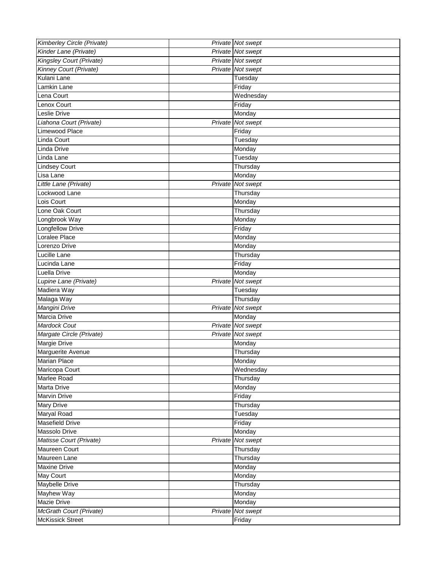| Kimberley Circle (Private) | Private Not swept |
|----------------------------|-------------------|
| Kinder Lane (Private)      | Private Not swept |
| Kingsley Court (Private)   | Private Not swept |
| Kinney Court (Private)     | Private Not swept |
| Kulani Lane                | Tuesday           |
| Lamkin Lane                | Friday            |
| Lena Court                 | Wednesday         |
| Lenox Court                | Friday            |
| <b>Leslie Drive</b>        | Monday            |
| Liahona Court (Private)    | Private Not swept |
| Limewood Place             | Friday            |
| Linda Court                | Tuesday           |
| Linda Drive                | Monday            |
| Linda Lane                 | Tuesday           |
| Lindsey Court              | Thursday          |
| Lisa Lane                  | Monday            |
| Little Lane (Private)      | Private Not swept |
| Lockwood Lane              | Thursday          |
| Lois Court                 | Monday            |
| Lone Oak Court             | Thursday          |
| Longbrook Way              | Monday            |
| <b>Longfellow Drive</b>    | Friday            |
| Loralee Place              | Monday            |
| Lorenzo Drive              | Monday            |
| Lucille Lane               | Thursday          |
| Lucinda Lane               | Friday            |
| Luella Drive               | Monday            |
| Lupine Lane (Private)      | Private Not swept |
| Madiera Way                | Tuesday           |
| Malaga Way                 | Thursday          |
| Mangini Drive              | Private Not swept |
| Marcia Drive               | Monday            |
| Mardock Cout               | Private Not swept |
| Margate Circle (Private)   | Private Not swept |
| Margie Drive               | Monday            |
| Marguerite Avenue          | Thursday          |
| <b>Marian Place</b>        | Monday            |
| Maricopa Court             | Wednesday         |
| Marlee Road                | Thursday          |
| <b>Marta Drive</b>         | Monday            |
| <b>Marvin Drive</b>        | Friday            |
| <b>Mary Drive</b>          | Thursday          |
| Maryal Road                | Tuesday           |
| Masefield Drive            | Friday            |
| Massolo Drive              | Monday            |
| Matisse Court (Private)    | Private Not swept |
| <b>Maureen Court</b>       | Thursday          |
| Maureen Lane               | Thursday          |
| <b>Maxine Drive</b>        | Monday            |
| <b>May Court</b>           | Monday            |
| <b>Maybelle Drive</b>      | Thursday          |
| Mayhew Way                 | Monday            |
| Mazie Drive                | Monday            |
| McGrath Court (Private)    | Private Not swept |
| <b>McKissick Street</b>    | Friday            |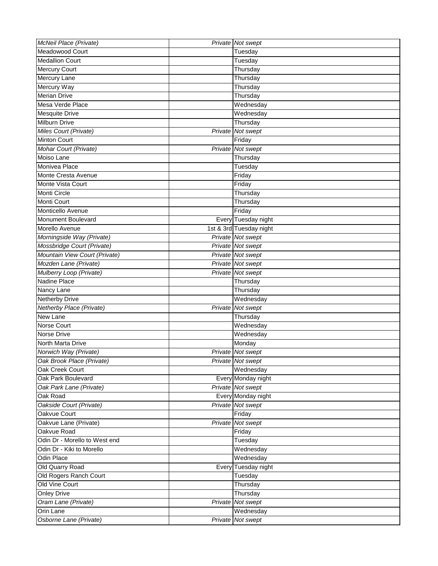| McNeil Place (Private)        | Private Not swept        |
|-------------------------------|--------------------------|
| Meadowood Court               | Tuesday                  |
| <b>Medallion Court</b>        | Tuesday                  |
| <b>Mercury Court</b>          | Thursday                 |
| Mercury Lane                  | Thursday                 |
| Mercury Way                   | Thursday                 |
| <b>Merian Drive</b>           | Thursday                 |
| Mesa Verde Place              | Wednesday                |
| <b>Mesquite Drive</b>         | Wednesday                |
| Milburn Drive                 | Thursday                 |
| Miles Court (Private)         | Private Not swept        |
| <b>Minton Court</b>           | Friday                   |
| Mohar Court (Private)         | Private Not swept        |
| Moiso Lane                    | Thursday                 |
| Monivea Place                 | Tuesday                  |
| Monte Cresta Avenue           | Friday                   |
| Monte Vista Court             | Friday                   |
| Monti Circle                  | Thursday                 |
| Monti Court                   | Thursday                 |
| Monticello Avenue             | Friday                   |
| Monument Boulevard            | Every Tuesday night      |
| Morello Avenue                | 1st & 3rd Tuesday night  |
| Morningside Way (Private)     | Private Not swept        |
| Mossbridge Court (Private)    | Private Not swept        |
| Mountain View Court (Private) | Private Not swept        |
| Mozden Lane (Private)         | <b>Private</b> Not swept |
| Mulberry Loop (Private)       | Private Not swept        |
| Nadine Place                  | Thursday                 |
| Nancy Lane                    | Thursday                 |
| <b>Netherby Drive</b>         | Wednesday                |
| Netherby Place (Private)      | Private Not swept        |
| New Lane                      | Thursday                 |
| <b>Norse Court</b>            | Wednesday                |
| <b>Norse Drive</b>            | Wednesday                |
| North Marta Drive             | Monday                   |
| Norwich Way (Private)         | Private Not swept        |
| Oak Brook Place (Private)     | Private Not swept        |
| Oak Creek Court               | Wednesday                |
| Oak Park Boulevard            | Every Monday night       |
| Oak Park Lane (Private)       | Private Not swept        |
| Oak Road                      | Every Monday night       |
| Oakside Court (Private)       | Private Not swept        |
| Oakvue Court                  | Friday                   |
| Oakvue Lane (Private)         | Private Not swept        |
| Oakvue Road                   | Friday                   |
| Odin Dr - Morello to West end | Tuesday                  |
| Odin Dr - Kiki to Morello     | Wednesday                |
| <b>Odin Place</b>             | Wednesday                |
| Old Quarry Road               | Every Tuesday night      |
| Old Rogers Ranch Court        | Tuesday                  |
| Old Vine Court                | Thursday                 |
| <b>Onley Drive</b>            | Thursday                 |
| Oram Lane (Private)           | Private Not swept        |
| Orin Lane                     | Wednesday                |
| Osborne Lane (Private)        | Private Not swept        |
|                               |                          |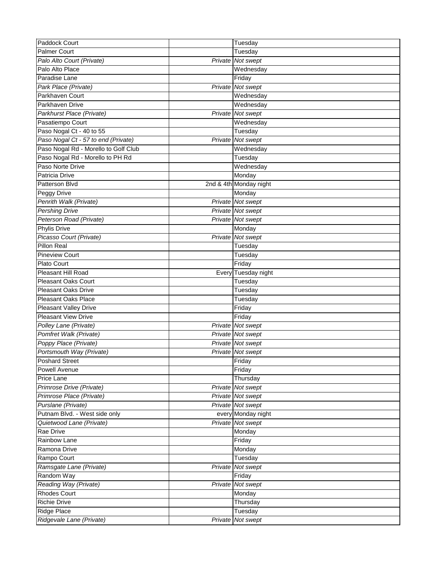| Paddock Court                        | Tuesday                |
|--------------------------------------|------------------------|
| <b>Palmer Court</b>                  | Tuesday                |
| Palo Alto Court (Private)            | Private Not swept      |
| Palo Alto Place                      | Wednesday              |
| Paradise Lane                        | Friday                 |
| Park Place (Private)                 | Private Not swept      |
| Parkhaven Court                      | Wednesday              |
| Parkhaven Drive                      | Wednesday              |
| Parkhurst Place (Private)            | Private Not swept      |
| Pasatiempo Court                     | Wednesday              |
| Paso Nogal Ct - 40 to 55             | Tuesday                |
| Paso Nogal Ct - 57 to end (Private)  | Private Not swept      |
| Paso Nogal Rd - Morello to Golf Club | Wednesday              |
| Paso Nogal Rd - Morello to PH Rd     | Tuesday                |
| Paso Norte Drive                     | Wednesday              |
| Patricia Drive                       | Monday                 |
| Patterson Blvd                       | 2nd & 4th Monday night |
| <b>Peggy Drive</b>                   | Monday                 |
| Penrith Walk (Private)               | Private Not swept      |
| <b>Pershing Drive</b>                | Private Not swept      |
| Peterson Road (Private)              | Private Not swept      |
| <b>Phylis Drive</b>                  | Monday                 |
| Picasso Court (Private)              | Private Not swept      |
| Pillon Real                          | Tuesday                |
| <b>Pineview Court</b>                | Tuesday                |
| <b>Plato Court</b>                   | Friday                 |
| <b>Pleasant Hill Road</b>            | Every Tuesday night    |
| <b>Pleasant Oaks Court</b>           | Tuesday                |
| <b>Pleasant Oaks Drive</b>           | Tuesday                |
| <b>Pleasant Oaks Place</b>           | Tuesday                |
| <b>Pleasant Valley Drive</b>         | Friday                 |
| <b>Pleasant View Drive</b>           | Friday                 |
| Polley Lane (Private)                | Private Not swept      |
| Pomfret Walk (Private)               | Private Not swept      |
| Poppy Place (Private)                | Private Not swept      |
| Portsmouth Way (Private)             | Private Not swept      |
| <b>Poshard Street</b>                | Friday                 |
| <b>Powell Avenue</b>                 | Friday                 |
| Price Lane                           | Thursday               |
| Primrose Drive (Private)             | Private Not swept      |
| Primrose Place (Private)             | Private Not swept      |
| Purslane (Private)                   | Private Not swept      |
| Putnam Blvd. - West side only        | every Monday night     |
| Quietwood Lane (Private)             | Private Not swept      |
| Rae Drive                            | Monday                 |
| <b>Rainbow Lane</b>                  | Friday                 |
| Ramona Drive                         | Monday                 |
| Rampo Court                          | Tuesday                |
| Ramsgate Lane (Private)              | Private Not swept      |
| Random Way                           | Friday                 |
| Reading Way (Private)                | Private Not swept      |
| <b>Rhodes Court</b>                  | Monday                 |
| <b>Richie Drive</b>                  | Thursday               |
| <b>Ridge Place</b>                   | Tuesday                |
| Ridgevale Lane (Private)             | Private Not swept      |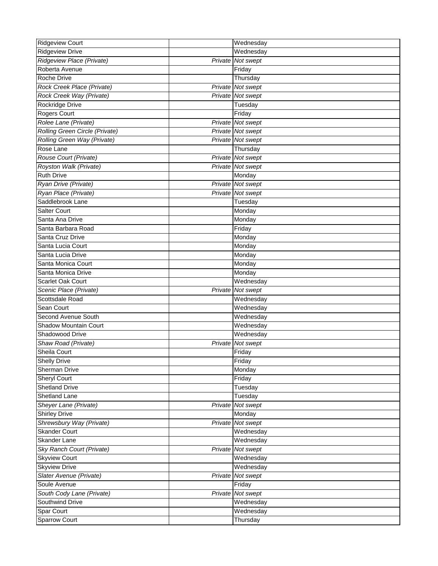| <b>Ridgeview Court</b>         |         | Wednesday         |
|--------------------------------|---------|-------------------|
| <b>Ridgeview Drive</b>         |         | Wednesday         |
| Ridgeview Place (Private)      | Private | Not swept         |
| Roberta Avenue                 |         | Friday            |
| Roche Drive                    |         | Thursday          |
| Rock Creek Place (Private)     |         | Private Not swept |
| Rock Creek Way (Private)       |         | Private Not swept |
| Rockridge Drive                |         | Tuesday           |
| <b>Rogers Court</b>            |         | Friday            |
| Rolee Lane (Private)           |         | Private Not swept |
| Rolling Green Circle (Private) |         | Private Not swept |
| Rolling Green Way (Private)    |         | Private Not swept |
| Rose Lane                      |         | Thursday          |
| Rouse Court (Private)          |         | Private Not swept |
| Royston Walk (Private)         |         | Private Not swept |
| <b>Ruth Drive</b>              |         | Monday            |
| Ryan Drive (Private)           |         | Private Not swept |
| Ryan Place (Private)           |         | Private Not swept |
| Saddlebrook Lane               |         | Tuesday           |
| <b>Salter Court</b>            |         | Monday            |
| Santa Ana Drive                |         | Monday            |
| Santa Barbara Road             |         | Friday            |
| Santa Cruz Drive               |         | Monday            |
| Santa Lucia Court              |         | Monday            |
| Santa Lucia Drive              |         | Monday            |
| Santa Monica Court             |         | Monday            |
| Santa Monica Drive             |         | Monday            |
| Scarlet Oak Court              |         | Wednesday         |
| Scenic Place (Private)         |         | Private Not swept |
| Scottsdale Road                |         | Wednesday         |
| Sean Court                     |         | Wednesday         |
| Second Avenue South            |         | Wednesday         |
| Shadow Mountain Court          |         | Wednesday         |
| Shadowood Drive                |         | Wednesday         |
| Shaw Road (Private)            | Private | Not swept         |
| Sheila Court                   |         | Friday            |
| <b>Shelly Drive</b>            |         | Friday            |
| Sherman Drive                  |         | Monday            |
| <b>Sheryl Court</b>            |         | Friday            |
| <b>Shetland Drive</b>          |         | Tuesday           |
| Shetland Lane                  |         | Tuesday           |
| Sheyer Lane (Private)          |         | Private Not swept |
| <b>Shirley Drive</b>           |         | Monday            |
| Shrewsbury Way (Private)       |         | Private Not swept |
| <b>Skander Court</b>           |         | Wednesday         |
| <b>Skander Lane</b>            |         | Wednesday         |
| Sky Ranch Court (Private)      |         | Private Not swept |
| <b>Skyview Court</b>           |         | Wednesday         |
| <b>Skyview Drive</b>           |         | Wednesday         |
| Slater Avenue (Private)        |         | Private Not swept |
| Soule Avenue                   |         | Friday            |
| South Cody Lane (Private)      |         | Private Not swept |
| Southwind Drive                |         | Wednesday         |
| Spar Court                     |         | Wednesday         |
| Sparrow Court                  |         | Thursday          |
|                                |         |                   |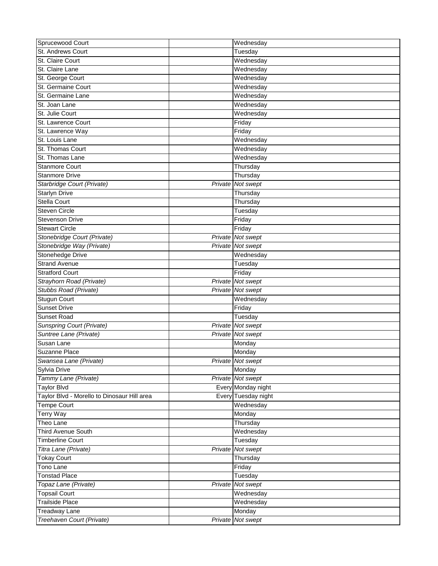| Sprucewood Court                            |         | Wednesday                   |
|---------------------------------------------|---------|-----------------------------|
| St. Andrews Court                           |         | Tuesday                     |
| St. Claire Court                            |         | Wednesday                   |
| St. Claire Lane                             |         | Wednesday                   |
| St. George Court                            |         | Wednesday                   |
| St. Germaine Court                          |         | Wednesday                   |
| St. Germaine Lane                           |         | Wednesday                   |
| St. Joan Lane                               |         | Wednesday                   |
| St. Julie Court                             |         | Wednesday                   |
| St. Lawrence Court                          |         | Friday                      |
| St. Lawrence Way                            |         | Friday                      |
| St. Louis Lane                              |         | Wednesday                   |
| St. Thomas Court                            |         | Wednesday                   |
| St. Thomas Lane                             |         | Wednesday                   |
| <b>Stanmore Court</b>                       |         | Thursday                    |
| <b>Stanmore Drive</b>                       |         | Thursday                    |
| Starbridge Court (Private)                  | Private | Not swept                   |
| <b>Starlyn Drive</b>                        |         | Thursday                    |
| <b>Stella Court</b>                         |         | Thursday                    |
| <b>Steven Circle</b>                        |         | Tuesday                     |
| <b>Stevenson Drive</b>                      |         | Friday                      |
| <b>Stewart Circle</b>                       |         | Friday                      |
| Stonebridge Court (Private)                 |         | Private Not swept           |
| Stonebridge Way (Private)                   |         | Private Not swept           |
| Stonehedge Drive                            |         | Wednesday                   |
| <b>Strand Avenue</b>                        |         |                             |
|                                             |         | Tuesday                     |
| <b>Stratford Court</b>                      |         | Friday<br>Private Not swept |
| Strayhorn Road (Private)                    |         |                             |
| Stubbs Road (Private)                       |         | Private Not swept           |
| <b>Stugun Court</b>                         |         | Wednesday                   |
| <b>Sunset Drive</b>                         |         | Friday                      |
| Sunset Road                                 |         | Tuesday                     |
| Sunspring Court (Private)                   |         | Private Not swept           |
| Suntree Lane (Private)                      |         | Private Not swept           |
| Susan Lane                                  |         | Monday                      |
| Suzanne Place                               |         | Monday                      |
| Swansea Lane (Private)                      |         | Private Not swept           |
| Sylvia Drive                                |         | Monday                      |
| Tammy Lane (Private)                        |         | Private Not swept           |
| <b>Taylor Blvd</b>                          |         | Every Monday night          |
| Taylor Blvd - Morello to Dinosaur Hill area |         | Every Tuesday night         |
| Tempe Court                                 |         | Wednesday                   |
| Terry Way                                   |         | Monday                      |
| Theo Lane                                   |         | Thursday                    |
| <b>Third Avenue South</b>                   |         | Wednesday                   |
| <b>Timberline Court</b>                     |         | Tuesday                     |
| Titra Lane (Private)                        |         | Private Not swept           |
| <b>Tokay Court</b>                          |         | Thursday                    |
| Tono Lane                                   |         | Friday                      |
| <b>Tonstad Place</b>                        |         | Tuesday                     |
| Topaz Lane (Private)                        |         | Private Not swept           |
| <b>Topsail Court</b>                        |         | Wednesday                   |
| <b>Trailside Place</b>                      |         | Wednesday                   |
| <b>Treadway Lane</b>                        |         | Monday                      |
| Treehaven Court (Private)                   |         | Private Not swept           |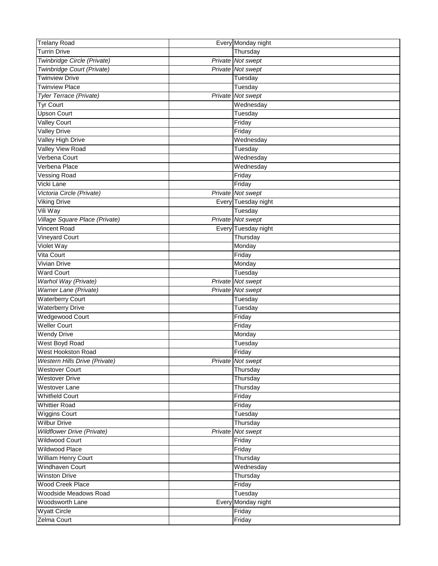| <b>Trelany Road</b>               |         | Every Monday night  |
|-----------------------------------|---------|---------------------|
| <b>Turrin Drive</b>               |         | Thursday            |
| Twinbridge Circle (Private)       |         | Private Not swept   |
| Twinbridge Court (Private)        |         | Private Not swept   |
| <b>Twinview Drive</b>             |         | Tuesday             |
| <b>Twinview Place</b>             |         | Tuesday             |
| Tyler Terrace (Private)           | Private | Not swept           |
| <b>Tyr Court</b>                  |         | Wednesday           |
| <b>Upson Court</b>                |         | Tuesday             |
| <b>Valley Court</b>               |         | Friday              |
| <b>Valley Drive</b>               |         | Friday              |
| Valley High Drive                 |         | Wednesday           |
| <b>Valley View Road</b>           |         | Tuesday             |
| Verbena Court                     |         | Wednesday           |
| Verbena Place                     |         | Wednesday           |
| <b>Vessing Road</b>               |         | Friday              |
| Vicki Lane                        |         | Friday              |
| Victoria Circle (Private)         |         | Private Not swept   |
| <b>Viking Drive</b>               |         | Every Tuesday night |
| Vili Way                          |         | Tuesday             |
| Village Square Place (Private)    |         | Private Not swept   |
| <b>Vincent Road</b>               |         | Every Tuesday night |
| <b>Vineyard Court</b>             |         | Thursday            |
| Violet Way                        |         | Monday              |
| Vita Court                        |         | Friday              |
| <b>Vivian Drive</b>               |         | Monday              |
| <b>Ward Court</b>                 |         | Tuesday             |
| Warhol Way (Private)              |         | Private Not swept   |
| Warner Lane (Private)             |         | Private Not swept   |
| <b>Waterberry Court</b>           |         | Tuesday             |
| <b>Waterberry Drive</b>           |         | Tuesday             |
| <b>Wedgewood Court</b>            |         | Friday              |
| <b>Weller Court</b>               |         | Friday              |
| <b>Wendy Drive</b>                |         | Monday              |
| West Boyd Road                    |         | Tuesday             |
| West Hookston Road                |         | Friday              |
| Western Hills Drive (Private)     |         | Private Not swept   |
| <b>Westover Court</b>             |         | Thursday            |
| <b>Westover Drive</b>             |         | Thursday            |
| Westover Lane                     |         | Thursday            |
| <b>Whitfield Court</b>            |         | Friday              |
| <b>Whittier Road</b>              |         | Friday              |
| <b>Wiggins Court</b>              |         | Tuesday             |
| <b>Wilbur Drive</b>               |         | Thursday            |
| <b>Wildflower Drive (Private)</b> |         | Private Not swept   |
| <b>Wildwood Court</b>             |         | Friday              |
| <b>Wildwood Place</b>             |         | Friday              |
| <b>William Henry Court</b>        |         | Thursday            |
| Windhaven Court                   |         | Wednesday           |
| <b>Winston Drive</b>              |         | Thursday            |
| <b>Wood Creek Place</b>           |         | Friday              |
| Woodside Meadows Road             |         | Tuesday             |
| Woodsworth Lane                   |         | Every Monday night  |
| <b>Wyatt Circle</b>               |         | Friday              |
| Zelma Court                       |         | Friday              |
|                                   |         |                     |